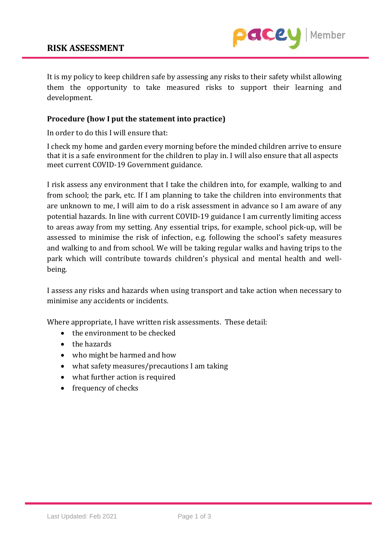

It is my policy to keep children safe by assessing any risks to their safety whilst allowing them the opportunity to take measured risks to support their learning and development.

## **Procedure (how I put the statement into practice)**

In order to do this I will ensure that:

I check my home and garden every morning before the minded children arrive to ensure that it is a safe environment for the children to play in. I will also ensure that all aspects meet current COVID-19 Government guidance.

I risk assess any environment that I take the children into, for example, walking to and from school; the park, etc. If I am planning to take the children into environments that are unknown to me, I will aim to do a risk assessment in advance so I am aware of any potential hazards. In line with current COVID-19 guidance I am currently limiting access to areas away from my setting. Any essential trips, for example, school pick-up, will be assessed to minimise the risk of infection, e.g. following the school's safety measures and walking to and from school. We will be taking regular walks and having trips to the park which will contribute towards children's physical and mental health and wellbeing.

I assess any risks and hazards when using transport and take action when necessary to minimise any accidents or incidents.

Where appropriate, I have written risk assessments. These detail:

- the environment to be checked
- the hazards
- who might be harmed and how
- what safety measures/precautions I am taking
- what further action is required
- frequency of checks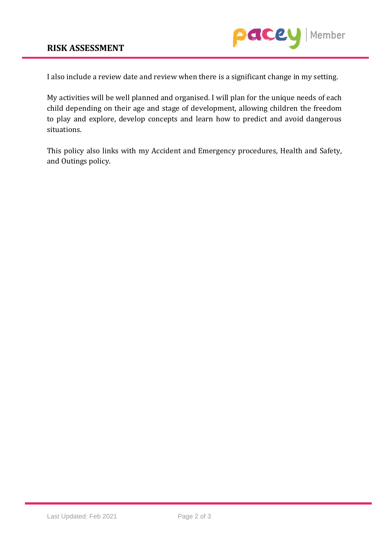

I also include a review date and review when there is a significant change in my setting.

My activities will be well planned and organised. I will plan for the unique needs of each child depending on their age and stage of development, allowing children the freedom to play and explore, develop concepts and learn how to predict and avoid dangerous situations.

This policy also links with my Accident and Emergency procedures, Health and Safety, and Outings policy.